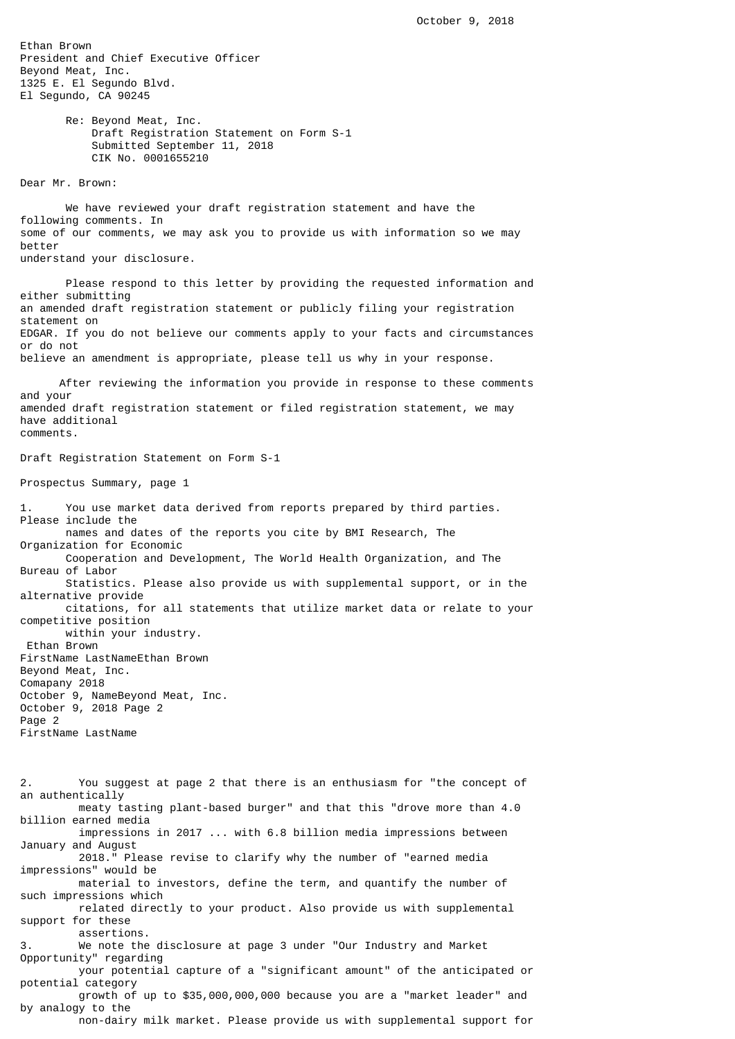Ethan Brown President and Chief Executive Officer Beyond Meat, Inc. 1325 E. El Segundo Blvd. El Segundo, CA 90245

> Re: Beyond Meat, Inc. Draft Registration Statement on Form S-1 Submitted September 11, 2018 CIK No. 0001655210

Dear Mr. Brown:

 We have reviewed your draft registration statement and have the following comments. In some of our comments, we may ask you to provide us with information so we may better understand your disclosure.

 Please respond to this letter by providing the requested information and either submitting an amended draft registration statement or publicly filing your registration statement on EDGAR. If you do not believe our comments apply to your facts and circumstances or do not believe an amendment is appropriate, please tell us why in your response.

 After reviewing the information you provide in response to these comments and your amended draft registration statement or filed registration statement, we may have additional comments.

Draft Registration Statement on Form S-1

Prospectus Summary, page 1

1. You use market data derived from reports prepared by third parties. Please include the names and dates of the reports you cite by BMI Research, The Organization for Economic Cooperation and Development, The World Health Organization, and The Bureau of Labor Statistics. Please also provide us with supplemental support, or in the alternative provide citations, for all statements that utilize market data or relate to your competitive position within your industry. Ethan Brown FirstName LastNameEthan Brown Beyond Meat, Inc. Comapany 2018 October 9, NameBeyond Meat, Inc. October 9, 2018 Page 2 Page 2 FirstName LastName 2. You suggest at page 2 that there is an enthusiasm for "the concept of an authentically meaty tasting plant-based burger" and that this "drove more than 4.0 billion earned media impressions in 2017 ... with 6.8 billion media impressions between January and August 2018." Please revise to clarify why the number of "earned media impressions" would be material to investors, define the term, and quantify the number of such impressions which related directly to your product. Also provide us with supplemental support for these assertions. We note the disclosure at page 3 under "Our Industry and Market Opportunity" regarding your potential capture of a "significant amount" of the anticipated or potential category growth of up to \$35,000,000,000 because you are a "market leader" and by analogy to the non-dairy milk market. Please provide us with supplemental support for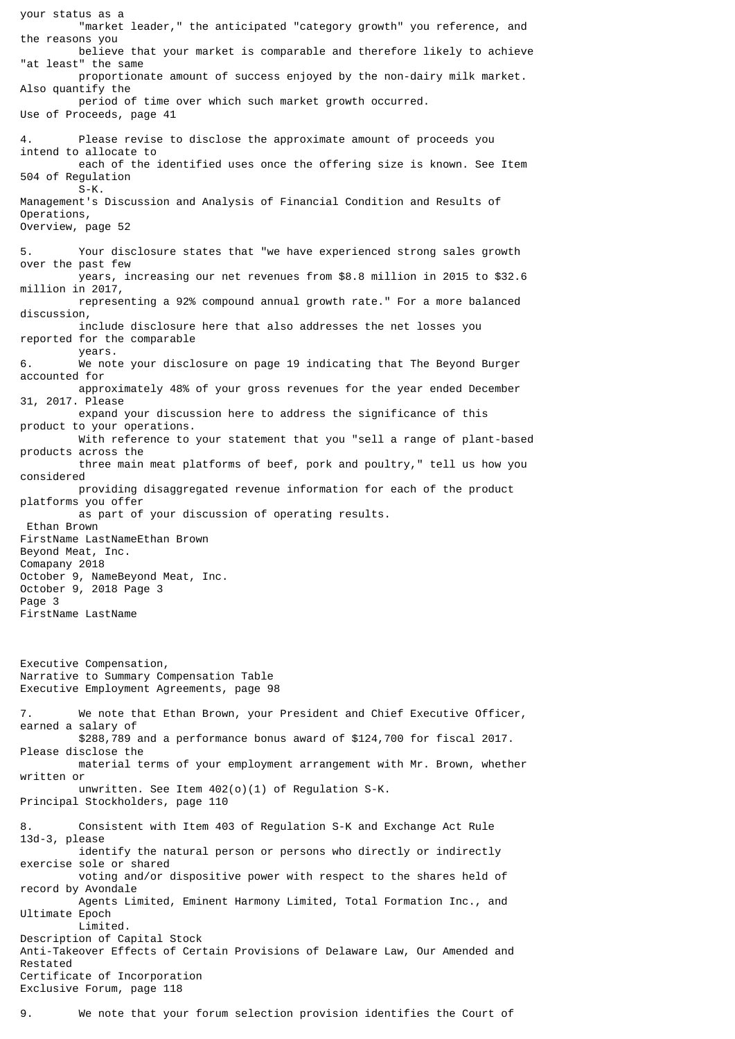your status as a "market leader," the anticipated "category growth" you reference, and the reasons you believe that your market is comparable and therefore likely to achieve "at least" the same proportionate amount of success enjoyed by the non-dairy milk market. Also quantify the period of time over which such market growth occurred. Use of Proceeds, page 41 4. Please revise to disclose the approximate amount of proceeds you intend to allocate to each of the identified uses once the offering size is known. See Item 504 of Regulation  $S-K$ . Management's Discussion and Analysis of Financial Condition and Results of Operations, Overview, page 52 5. Your disclosure states that "we have experienced strong sales growth over the past few years, increasing our net revenues from \$8.8 million in 2015 to \$32.6 million in 2017, representing a 92% compound annual growth rate." For a more balanced discussion, include disclosure here that also addresses the net losses you reported for the comparable years.<br>6 We not We note your disclosure on page 19 indicating that The Beyond Burger accounted for approximately 48% of your gross revenues for the year ended December 31, 2017. Please expand your discussion here to address the significance of this product to your operations. With reference to your statement that you "sell a range of plant-based products across the three main meat platforms of beef, pork and poultry," tell us how you considered providing disaggregated revenue information for each of the product platforms you offer as part of your discussion of operating results. Ethan Brown FirstName LastNameEthan Brown Beyond Meat, Inc. Comapany 2018 October 9, NameBeyond Meat, Inc. October 9, 2018 Page 3 Page 3 FirstName LastName Executive Compensation, Narrative to Summary Compensation Table Executive Employment Agreements, page 98 7. We note that Ethan Brown, your President and Chief Executive Officer, earned a salary of \$288,789 and a performance bonus award of \$124,700 for fiscal 2017. Please disclose the material terms of your employment arrangement with Mr. Brown, whether written or unwritten. See Item 402(o)(1) of Regulation S-K. Principal Stockholders, page 110 8. Consistent with Item 403 of Regulation S-K and Exchange Act Rule 13d-3, please identify the natural person or persons who directly or indirectly exercise sole or shared voting and/or dispositive power with respect to the shares held of record by Avondale Agents Limited, Eminent Harmony Limited, Total Formation Inc., and Ultimate Epoch Limited. Description of Capital Stock Anti-Takeover Effects of Certain Provisions of Delaware Law, Our Amended and Restated Certificate of Incorporation Exclusive Forum, page 118

## 9. We note that your forum selection provision identifies the Court of